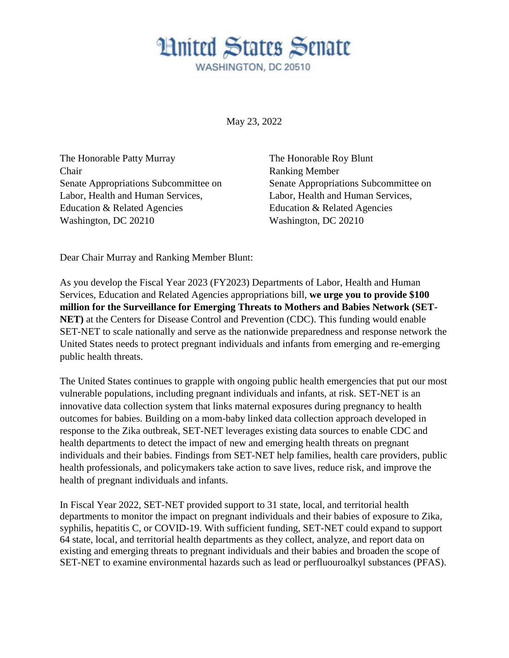**Hnited States Senate** WASHINGTON, DC 20510

May 23, 2022

The Honorable Patty Murray The Honorable Roy Blunt Chair Ranking Member Labor, Health and Human Services, Labor, Health and Human Services, Education & Related Agencies Education & Related Agencies Washington, DC 20210 Washington, DC 20210

Senate Appropriations Subcommittee on Senate Appropriations Subcommittee on

Dear Chair Murray and Ranking Member Blunt:

As you develop the Fiscal Year 2023 (FY2023) Departments of Labor, Health and Human Services, Education and Related Agencies appropriations bill, **we urge you to provide \$100 million for the Surveillance for Emerging Threats to Mothers and Babies Network (SET-NET)** at the Centers for Disease Control and Prevention (CDC). This funding would enable SET-NET to scale nationally and serve as the nationwide preparedness and response network the United States needs to protect pregnant individuals and infants from emerging and re-emerging public health threats.

The United States continues to grapple with ongoing public health emergencies that put our most vulnerable populations, including pregnant individuals and infants, at risk. SET-NET is an innovative data collection system that links maternal exposures during pregnancy to health outcomes for babies. Building on a mom-baby linked data collection approach developed in response to the Zika outbreak, SET-NET leverages existing data sources to enable CDC and health departments to detect the impact of new and emerging health threats on pregnant individuals and their babies. Findings from SET-NET help families, health care providers, public health professionals, and policymakers take action to save lives, reduce risk, and improve the health of pregnant individuals and infants.

In Fiscal Year 2022, SET-NET provided support to 31 state, local, and territorial health departments to monitor the impact on pregnant individuals and their babies of exposure to Zika, syphilis, hepatitis C, or COVID-19. With sufficient funding, SET-NET could expand to support 64 state, local, and territorial health departments as they collect, analyze, and report data on existing and emerging threats to pregnant individuals and their babies and broaden the scope of SET-NET to examine environmental hazards such as lead or perfluouroalkyl substances (PFAS).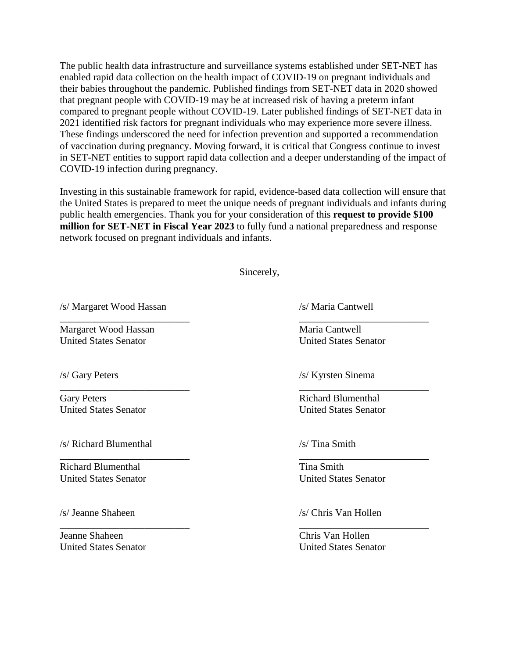The public health data infrastructure and surveillance systems established under SET-NET has enabled rapid data collection on the health impact of COVID-19 on pregnant individuals and their babies throughout the pandemic. Published findings from SET-NET data in 2020 showed that pregnant people with COVID-19 may be at increased risk of having a preterm infant compared to pregnant people without COVID-19. Later published findings of SET-NET data in 2021 identified risk factors for pregnant individuals who may experience more severe illness. These findings underscored the need for infection prevention and supported a recommendation of vaccination during pregnancy. Moving forward, it is critical that Congress continue to invest in SET-NET entities to support rapid data collection and a deeper understanding of the impact of COVID-19 infection during pregnancy.

Investing in this sustainable framework for rapid, evidence-based data collection will ensure that the United States is prepared to meet the unique needs of pregnant individuals and infants during public health emergencies. Thank you for your consideration of this **request to provide \$100 million for SET-NET in Fiscal Year 2023** to fully fund a national preparedness and response network focused on pregnant individuals and infants.

Sincerely,

\_\_\_\_\_\_\_\_\_\_\_\_\_\_\_\_\_\_\_\_\_\_\_\_\_\_ \_\_\_\_\_\_\_\_\_\_\_\_\_\_\_\_\_\_\_\_\_\_\_\_\_\_

 $\overline{\phantom{a}}$  , and the contract of the contract of the contract of the contract of the contract of the contract of the contract of the contract of the contract of the contract of the contract of the contract of the contrac

 $\overline{\phantom{a}}$  , and the contract of the contract of the contract of the contract of the contract of the contract of the contract of the contract of the contract of the contract of the contract of the contract of the contrac

\_\_\_\_\_\_\_\_\_\_\_\_\_\_\_\_\_\_\_\_\_\_\_\_\_\_ \_\_\_\_\_\_\_\_\_\_\_\_\_\_\_\_\_\_\_\_\_\_\_\_\_\_

/s/ Margaret Wood Hassan /s/ Maria Cantwell

Margaret Wood Hassan Maria Cantwell United States Senator United States Senator

United States Senator United States Senator

/s/ Richard Blumenthal /s/ Tina Smith

Richard Blumenthal Tina Smith

Jeanne Shaheen Chris Van Hollen United States Senator United States Senator

/s/ Gary Peters /s/ Kyrsten Sinema

Gary Peters **Richard Blumenthal** 

United States Senator United States Senator

/s/ Jeanne Shaheen /s/ Chris Van Hollen